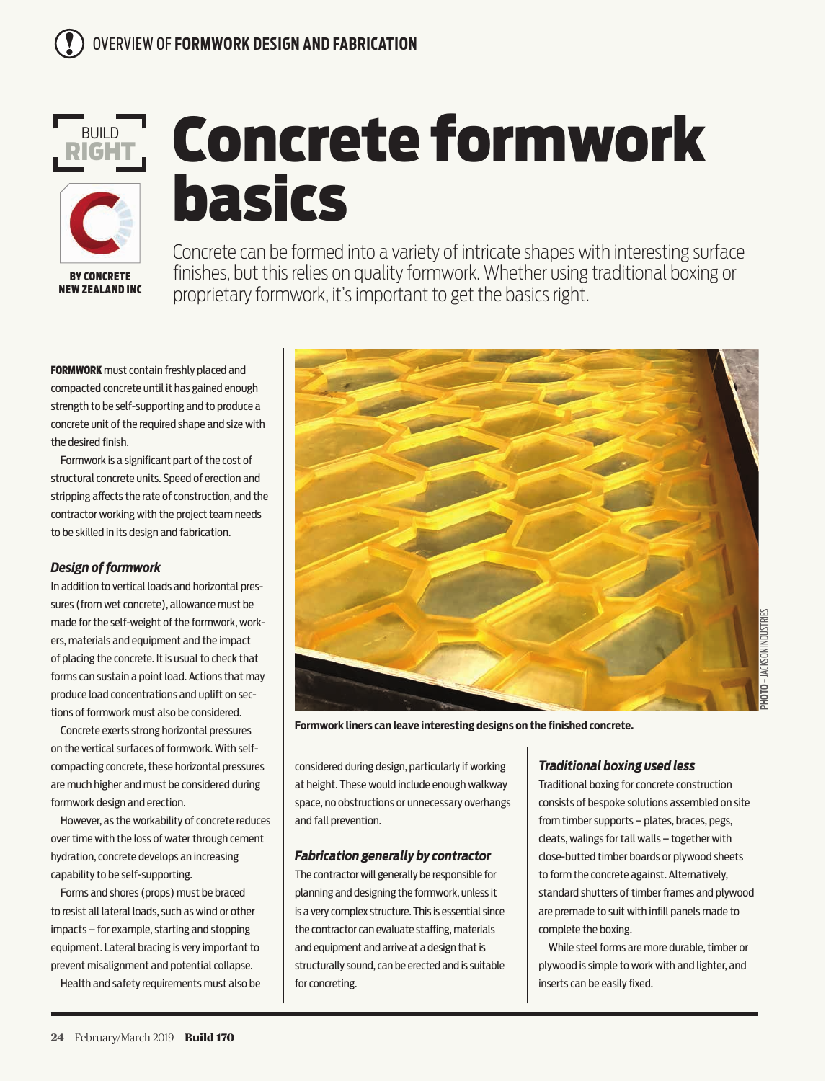

# Concrete formwork basics

Concrete can be formed into a variety of intricate shapes with interesting surface finishes, but this relies on quality formwork. Whether using traditional boxing or proprietary formwork, it's important to get the basics right.

FORMWORK must contain freshly placed and compacted concrete until it has gained enough strength to be self-supporting and to produce a concrete unit of the required shape and size with the desired finish.

Formwork is a significant part of the cost of structural concrete units. Speed of erection and stripping affects the rate of construction, and the contractor working with the project team needs to be skilled in its design and fabrication.

# *Design of formwork*

In addition to vertical loads and horizontal pressures (from wet concrete), allowance must be made for the self-weight of the formwork, workers, materials and equipment and the impact of placing the concrete. It is usual to check that forms can sustain a point load. Actions that may produce load concentrations and uplift on sections of formwork must also be considered.

Concrete exerts strong horizontal pressures on the vertical surfaces of formwork. With selfcompacting concrete, these horizontal pressures are much higher and must be considered during formwork design and erection.

However, as the workability of concrete reduces over time with the loss of water through cement hydration, concrete develops an increasing capability to be self-supporting.

Forms and shores (props) must be braced to resist all lateral loads, such as wind or other impacts – for example, starting and stopping equipment. Lateral bracing is very important to prevent misalignment and potential collapse.

Health and safety requirements must also be



**Formwork liners can leave interesting designs on the finished concrete.**

considered during design, particularly if working at height. These would include enough walkway space, no obstructions or unnecessary overhangs and fall prevention.

## *Fabrication generally by contractor*

The contractor will generally be responsible for planning and designing the formwork, unless it is a very complex structure. This is essential since the contractor can evaluate staffing, materials and equipment and arrive at a design that is structurally sound, can be erected and is suitable for concreting.

# *Traditional boxing used less*

Traditional boxing for concrete construction consists of bespoke solutions assembled on site from timber supports – plates, braces, pegs, cleats, walings for tall walls – together with close-butted timber boards or plywood sheets to form the concrete against. Alternatively, standard shutters of timber frames and plywood are premade to suit with infill panels made to complete the boxing.

While steel forms are more durable, timber or plywood is simple to work with and lighter, and inserts can be easily fixed.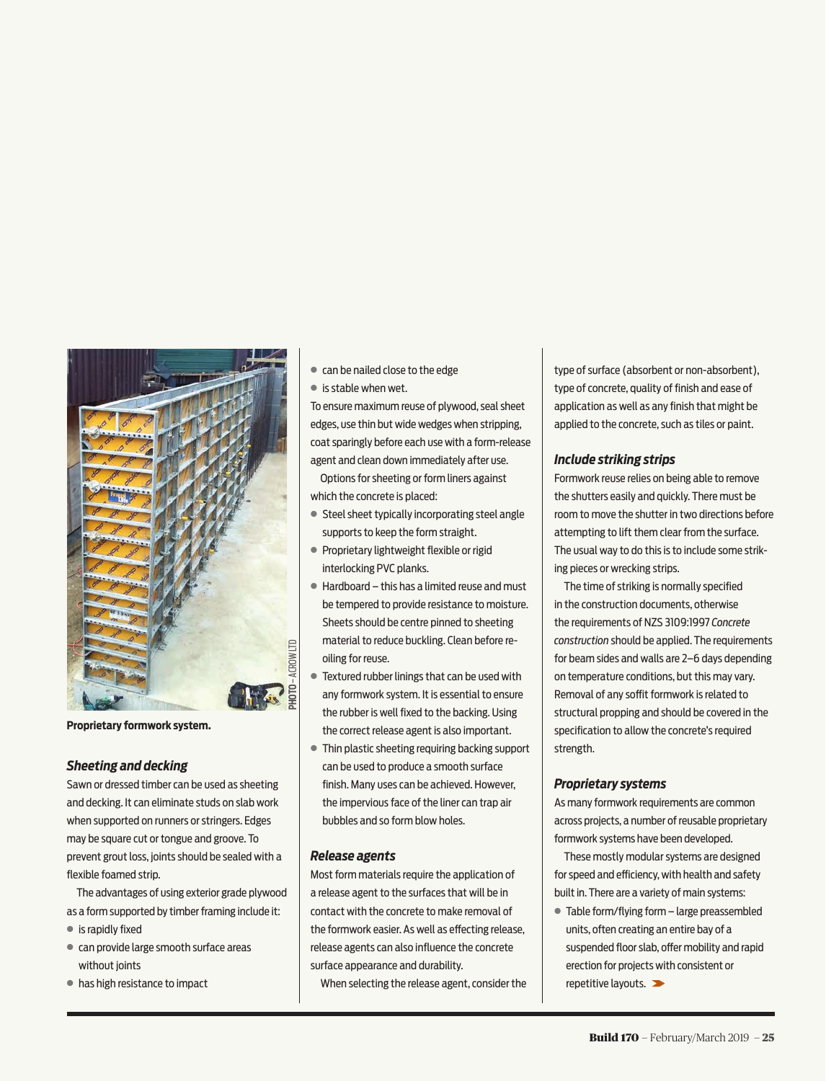

**Proprietary formwork system.** 

#### *Sheeting and decking*

Sawn or dressed timber can be used as sheeting and decking. It can eliminate studs on slab work when supported on runners or stringers. Edges may be square cut or tongue and groove. To prevent grout loss, joints should be sealed with a flexible foamed strip.

The advantages of using exterior grade plywood as a form supported by timber framing include it:

- **●** is rapidly fixed
- **●** can provide large smooth surface areas without joints
- **●** has high resistance to impact
- **●** can be nailed close to the edge
- **●** is stable when wet.

To ensure maximum reuse of plywood, seal sheet edges, use thin but wide wedges when stripping, coat sparingly before each use with a form-release agent and clean down immediately after use.

Options for sheeting or form liners against which the concrete is placed:

- **●** Steel sheet typically incorporating steel angle supports to keep the form straight.
- **●** Proprietary lightweight flexible or rigid interlocking PVC planks.
- **●** Hardboard this has a limited reuse and must be tempered to provide resistance to moisture. Sheets should be centre pinned to sheeting material to reduce buckling. Clean before reoiling for reuse.
- **●** Textured rubber linings that can be used with any formwork system. It is essential to ensure the rubber is well fixed to the backing. Using the correct release agent is also important.
- **●** Thin plastic sheeting requiring backing support can be used to produce a smooth surface finish. Many uses can be achieved. However, the impervious face of the liner can trap air bubbles and so form blow holes.

#### *Release agents*

Most form materials require the application of a release agent to the surfaces that will be in contact with the concrete to make removal of the formwork easier. As well as effecting release, release agents can also influence the concrete surface appearance and durability.

When selecting the release agent, consider the

type of surface (absorbent or non-absorbent), type of concrete, quality of finish and ease of application as well as any finish that might be applied to the concrete, such as tiles or paint.

#### *Include striking strips*

Formwork reuse relies on being able to remove the shutters easily and quickly. There must be room to move the shutter in two directions before attempting to lift them clear from the surface. The usual way to do this is to include some striking pieces or wrecking strips.

The time of striking is normally specified in the construction documents, otherwise the requirements of NZS 3109:1997 *Concrete construction* should be applied. The requirements for beam sides and walls are 2–6 days depending on temperature conditions, but this may vary. Removal of any soffit formwork is related to structural propping and should be covered in the specification to allow the concrete's required strength.

#### *Proprietary systems*

As many formwork requirements are common across projects, a number of reusable proprietary formwork systems have been developed.

These mostly modular systems are designed for speed and efficiency, with health and safety built in. There are a variety of main systems:

**●** Table form/flying form – large preassembled units, often creating an entire bay of a suspended floor slab, offer mobility and rapid erection for projects with consistent or repetitive layouts.